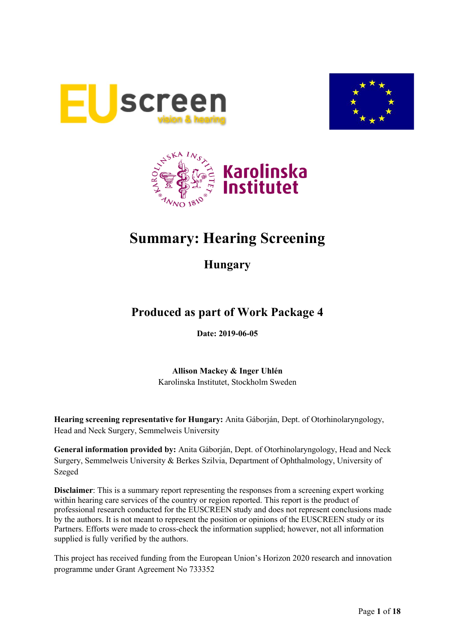





# **Summary: Hearing Screening**

**Hungary**

# **Produced as part of Work Package 4**

**Date: 2019-06-05**

**Allison Mackey & Inger Uhlén** Karolinska Institutet, Stockholm Sweden

**Hearing screening representative for Hungary:** Anita Gáborján, Dept. of Otorhinolaryngology, Head and Neck Surgery, Semmelweis University

**General information provided by:** Anita Gáborján, Dept. of Otorhinolaryngology, Head and Neck Surgery, Semmelweis University & Berkes Szilvia, Department of Ophthalmology, University of Szeged

**Disclaimer**: This is a summary report representing the responses from a screening expert working within hearing care services of the country or region reported. This report is the product of professional research conducted for the EUSCREEN study and does not represent conclusions made by the authors. It is not meant to represent the position or opinions of the EUSCREEN study or its Partners. Efforts were made to cross-check the information supplied; however, not all information supplied is fully verified by the authors.

This project has received funding from the European Union's Horizon 2020 research and innovation programme under Grant Agreement No 733352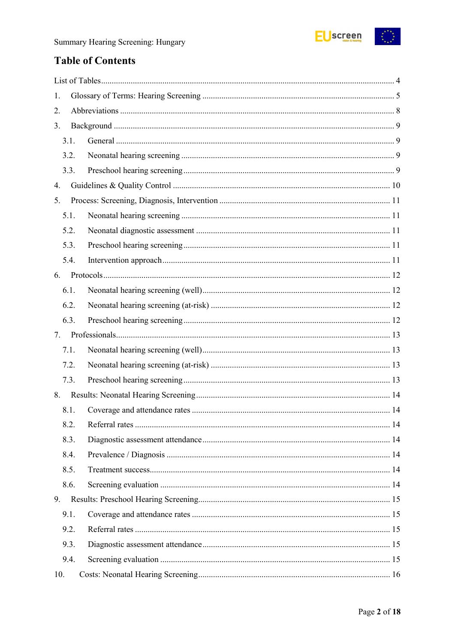

# **Table of Contents**

| 1.   |  |
|------|--|
| 2.   |  |
| 3.   |  |
| 3.1. |  |
| 3.2. |  |
| 3.3. |  |
| 4.   |  |
| 5.   |  |
| 5.1. |  |
| 5.2. |  |
| 5.3. |  |
| 5.4. |  |
| 6.   |  |
| 6.1. |  |
| 6.2. |  |
| 6.3. |  |
| 7.   |  |
| 7.1. |  |
| 7.2. |  |
| 7.3. |  |
| 8.   |  |
| 8.1. |  |
| 8.2. |  |
| 8.3. |  |
| 8.4. |  |
| 8.5. |  |
| 8.6. |  |
| 9.   |  |
| 9.1. |  |
| 9.2. |  |
| 9.3. |  |
| 9.4. |  |
| 10.  |  |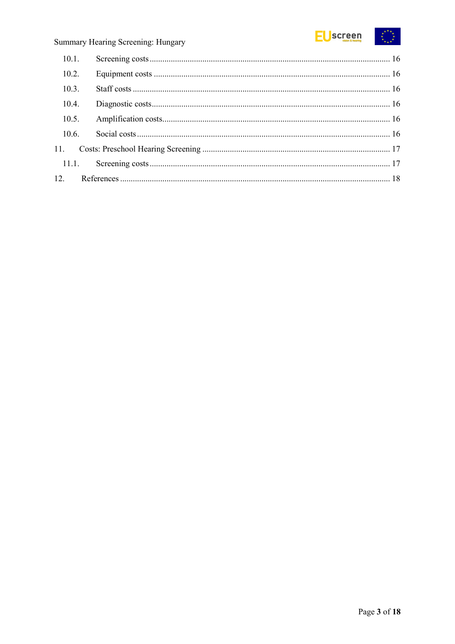

### Summary Hearing Screening: Hungary

| 10.2. |  |  |  |
|-------|--|--|--|
| 10.3. |  |  |  |
| 10.4. |  |  |  |
| 10.5. |  |  |  |
| 10.6. |  |  |  |
|       |  |  |  |
|       |  |  |  |
|       |  |  |  |
|       |  |  |  |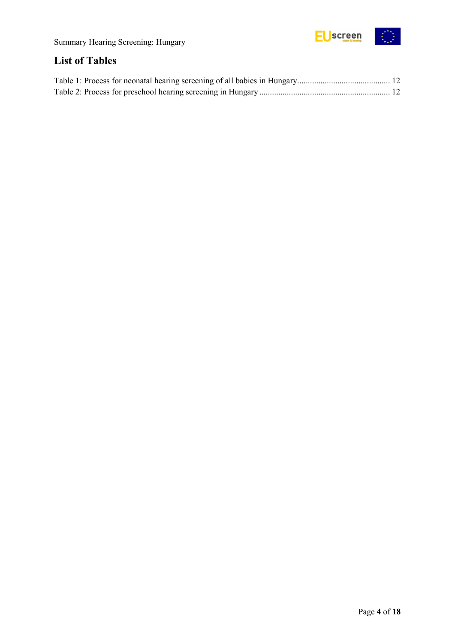

# <span id="page-3-0"></span>**List of Tables**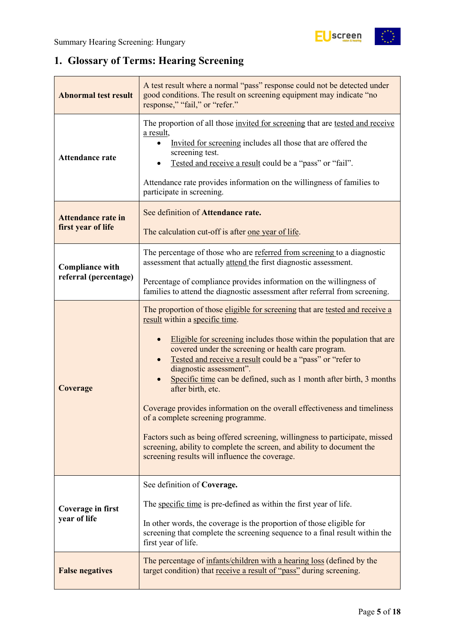

# <span id="page-4-0"></span>**1. Glossary of Terms: Hearing Screening**

| <b>Abnormal test result</b>                     | A test result where a normal "pass" response could not be detected under<br>good conditions. The result on screening equipment may indicate "no<br>response," "fail," or "refer."                                                                                                                                                                                                                                                                                                                                                                                                                                                                                                                                                                                |
|-------------------------------------------------|------------------------------------------------------------------------------------------------------------------------------------------------------------------------------------------------------------------------------------------------------------------------------------------------------------------------------------------------------------------------------------------------------------------------------------------------------------------------------------------------------------------------------------------------------------------------------------------------------------------------------------------------------------------------------------------------------------------------------------------------------------------|
| <b>Attendance rate</b>                          | The proportion of all those invited for screening that are tested and receive<br>a result,<br>Invited for screening includes all those that are offered the<br>screening test.<br>Tested and receive a result could be a "pass" or "fail".<br>Attendance rate provides information on the willingness of families to<br>participate in screening.                                                                                                                                                                                                                                                                                                                                                                                                                |
| <b>Attendance rate in</b><br>first year of life | See definition of Attendance rate.<br>The calculation cut-off is after one year of life.                                                                                                                                                                                                                                                                                                                                                                                                                                                                                                                                                                                                                                                                         |
| <b>Compliance with</b>                          | The percentage of those who are referred from screening to a diagnostic<br>assessment that actually attend the first diagnostic assessment.                                                                                                                                                                                                                                                                                                                                                                                                                                                                                                                                                                                                                      |
| referral (percentage)                           | Percentage of compliance provides information on the willingness of<br>families to attend the diagnostic assessment after referral from screening.                                                                                                                                                                                                                                                                                                                                                                                                                                                                                                                                                                                                               |
| Coverage                                        | The proportion of those eligible for screening that are tested and receive a<br>result within a specific time.<br>Eligible for screening includes those within the population that are<br>covered under the screening or health care program.<br>Tested and receive a result could be a "pass" or "refer to<br>diagnostic assessment".<br>Specific time can be defined, such as 1 month after birth, 3 months<br>after birth, etc.<br>Coverage provides information on the overall effectiveness and timeliness<br>of a complete screening programme.<br>Factors such as being offered screening, willingness to participate, missed<br>screening, ability to complete the screen, and ability to document the<br>screening results will influence the coverage. |
| <b>Coverage in first</b><br>year of life        | See definition of Coverage.<br>The specific time is pre-defined as within the first year of life.<br>In other words, the coverage is the proportion of those eligible for<br>screening that complete the screening sequence to a final result within the<br>first year of life.                                                                                                                                                                                                                                                                                                                                                                                                                                                                                  |
| <b>False negatives</b>                          | The percentage of infants/children with a hearing loss (defined by the<br>target condition) that receive a result of "pass" during screening.                                                                                                                                                                                                                                                                                                                                                                                                                                                                                                                                                                                                                    |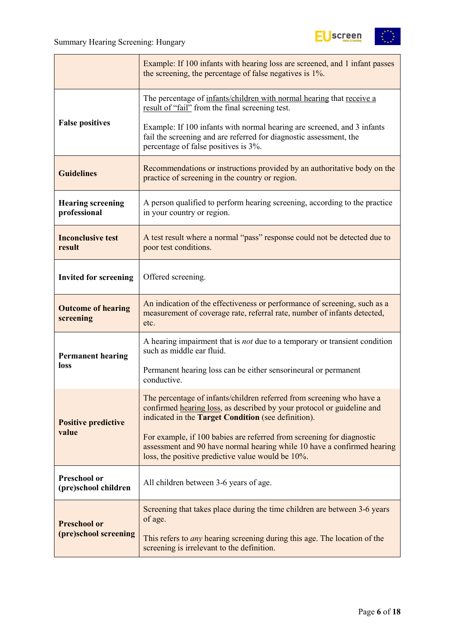

|                                             | Example: If 100 infants with hearing loss are screened, and 1 infant passes<br>the screening, the percentage of false negatives is 1%.                                                                 |  |  |  |
|---------------------------------------------|--------------------------------------------------------------------------------------------------------------------------------------------------------------------------------------------------------|--|--|--|
|                                             | The percentage of infants/children with normal hearing that receive a<br>result of "fail" from the final screening test.                                                                               |  |  |  |
| <b>False positives</b>                      | Example: If 100 infants with normal hearing are screened, and 3 infants<br>fail the screening and are referred for diagnostic assessment, the<br>percentage of false positives is 3%.                  |  |  |  |
| <b>Guidelines</b>                           | Recommendations or instructions provided by an authoritative body on the<br>practice of screening in the country or region.                                                                            |  |  |  |
| <b>Hearing screening</b><br>professional    | A person qualified to perform hearing screening, according to the practice<br>in your country or region.                                                                                               |  |  |  |
| <b>Inconclusive test</b><br>result          | A test result where a normal "pass" response could not be detected due to<br>poor test conditions.                                                                                                     |  |  |  |
| <b>Invited for screening</b>                | Offered screening.                                                                                                                                                                                     |  |  |  |
| <b>Outcome of hearing</b><br>screening      | An indication of the effectiveness or performance of screening, such as a<br>measurement of coverage rate, referral rate, number of infants detected,<br>etc.                                          |  |  |  |
| <b>Permanent hearing</b>                    | A hearing impairment that is <i>not</i> due to a temporary or transient condition<br>such as middle ear fluid.                                                                                         |  |  |  |
| loss                                        | Permanent hearing loss can be either sensorineural or permanent<br>conductive.                                                                                                                         |  |  |  |
| <b>Positive predictive</b>                  | The percentage of infants/children referred from screening who have a<br>confirmed hearing loss, as described by your protocol or guideline and<br>indicated in the Target Condition (see definition). |  |  |  |
| value                                       | For example, if 100 babies are referred from screening for diagnostic<br>assessment and 90 have normal hearing while 10 have a confirmed hearing<br>loss, the positive predictive value would be 10%.  |  |  |  |
| <b>Preschool or</b><br>(pre)school children | All children between 3-6 years of age.                                                                                                                                                                 |  |  |  |
| <b>Preschool or</b>                         | Screening that takes place during the time children are between 3-6 years<br>of age.                                                                                                                   |  |  |  |
| (pre)school screening                       | This refers to <i>any</i> hearing screening during this age. The location of the<br>screening is irrelevant to the definition.                                                                         |  |  |  |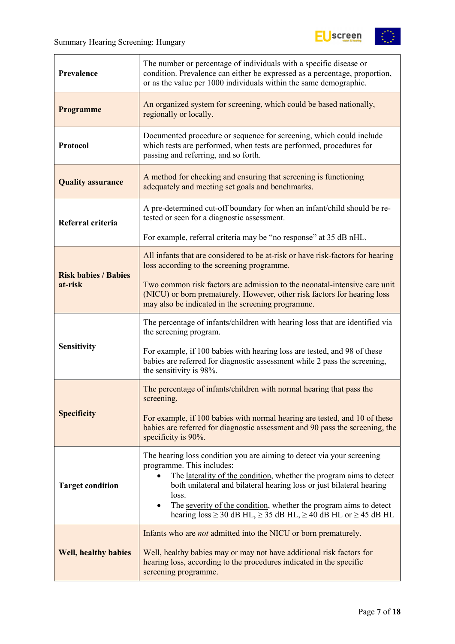

| Prevalence                             | The number or percentage of individuals with a specific disease or<br>condition. Prevalence can either be expressed as a percentage, proportion,<br>or as the value per 1000 individuals within the same demographic.                                                                                                                                                                                                 |  |  |  |
|----------------------------------------|-----------------------------------------------------------------------------------------------------------------------------------------------------------------------------------------------------------------------------------------------------------------------------------------------------------------------------------------------------------------------------------------------------------------------|--|--|--|
| <b>Programme</b>                       | An organized system for screening, which could be based nationally,<br>regionally or locally.                                                                                                                                                                                                                                                                                                                         |  |  |  |
| Protocol                               | Documented procedure or sequence for screening, which could include<br>which tests are performed, when tests are performed, procedures for<br>passing and referring, and so forth.                                                                                                                                                                                                                                    |  |  |  |
| <b>Quality assurance</b>               | A method for checking and ensuring that screening is functioning<br>adequately and meeting set goals and benchmarks.                                                                                                                                                                                                                                                                                                  |  |  |  |
| Referral criteria                      | A pre-determined cut-off boundary for when an infant/child should be re-<br>tested or seen for a diagnostic assessment.                                                                                                                                                                                                                                                                                               |  |  |  |
|                                        | For example, referral criteria may be "no response" at 35 dB nHL.                                                                                                                                                                                                                                                                                                                                                     |  |  |  |
|                                        | All infants that are considered to be at-risk or have risk-factors for hearing<br>loss according to the screening programme.                                                                                                                                                                                                                                                                                          |  |  |  |
| <b>Risk babies / Babies</b><br>at-risk | Two common risk factors are admission to the neonatal-intensive care unit<br>(NICU) or born prematurely. However, other risk factors for hearing loss<br>may also be indicated in the screening programme.                                                                                                                                                                                                            |  |  |  |
|                                        | The percentage of infants/children with hearing loss that are identified via<br>the screening program.                                                                                                                                                                                                                                                                                                                |  |  |  |
| Sensitivity                            | For example, if 100 babies with hearing loss are tested, and 98 of these<br>babies are referred for diagnostic assessment while 2 pass the screening,<br>the sensitivity is 98%.                                                                                                                                                                                                                                      |  |  |  |
|                                        | The percentage of infants/children with normal hearing that pass the<br>screening.                                                                                                                                                                                                                                                                                                                                    |  |  |  |
| <b>Specificity</b>                     | For example, if 100 babies with normal hearing are tested, and 10 of these<br>babies are referred for diagnostic assessment and 90 pass the screening, the<br>specificity is 90%.                                                                                                                                                                                                                                     |  |  |  |
| <b>Target condition</b>                | The hearing loss condition you are aiming to detect via your screening<br>programme. This includes:<br>The laterality of the condition, whether the program aims to detect<br>both unilateral and bilateral hearing loss or just bilateral hearing<br>loss.<br>The severity of the condition, whether the program aims to detect<br>hearing loss $\geq$ 30 dB HL, $\geq$ 35 dB HL, $\geq$ 40 dB HL or $\geq$ 45 dB HL |  |  |  |
| <b>Well, healthy babies</b>            | Infants who are <i>not</i> admitted into the NICU or born prematurely.<br>Well, healthy babies may or may not have additional risk factors for<br>hearing loss, according to the procedures indicated in the specific<br>screening programme.                                                                                                                                                                         |  |  |  |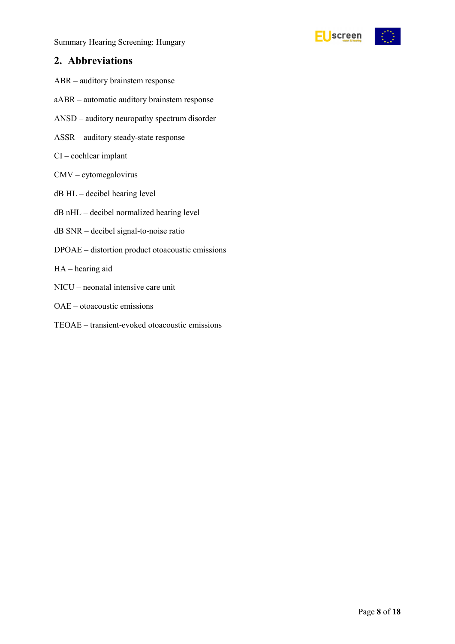Summary Hearing Screening: Hungary



### <span id="page-7-0"></span>**2. Abbreviations**

- ABR auditory brainstem response
- aABR automatic auditory brainstem response
- ANSD auditory neuropathy spectrum disorder
- ASSR auditory steady-state response
- CI cochlear implant
- CMV cytomegalovirus
- dB HL decibel hearing level
- dB nHL decibel normalized hearing level
- dB SNR decibel signal-to-noise ratio
- DPOAE distortion product otoacoustic emissions
- HA hearing aid
- NICU neonatal intensive care unit
- OAE otoacoustic emissions
- TEOAE transient-evoked otoacoustic emissions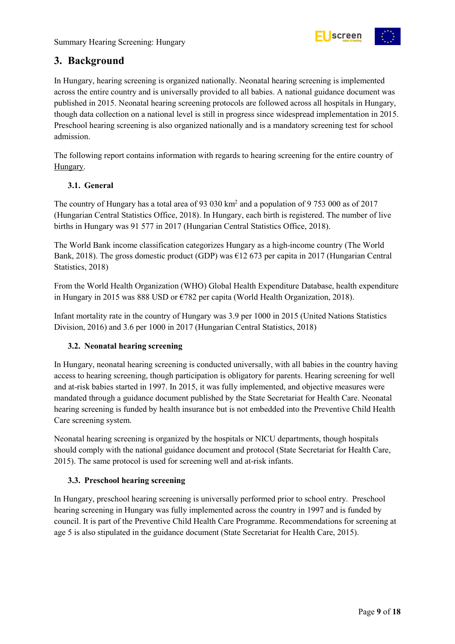

### <span id="page-8-0"></span>**3. Background**

In Hungary, hearing screening is organized nationally. Neonatal hearing screening is implemented across the entire country and is universally provided to all babies. A national guidance document was published in 2015. Neonatal hearing screening protocols are followed across all hospitals in Hungary, though data collection on a national level is still in progress since widespread implementation in 2015. Preschool hearing screening is also organized nationally and is a mandatory screening test for school admission.

The following report contains information with regards to hearing screening for the entire country of Hungary.

### <span id="page-8-1"></span>**3.1. General**

The country of Hungary has a total area of 93 030 km<sup>2</sup> and a population of 9 753 000 as of 2017 (Hungarian Central Statistics Office, 2018). In Hungary, each birth is registered. The number of live births in Hungary was 91 577 in 2017 (Hungarian Central Statistics Office, 2018).

The World Bank income classification categorizes Hungary as a high-income country (The World Bank, 2018). The gross domestic product (GDP) was  $\epsilon$ 12 673 per capita in 2017 (Hungarian Central Statistics, 2018)

From the World Health Organization (WHO) Global Health Expenditure Database, health expenditure in Hungary in 2015 was 888 USD or €782 per capita (World Health Organization, 2018).

Infant mortality rate in the country of Hungary was 3.9 per 1000 in 2015 (United Nations Statistics Division, 2016) and 3.6 per 1000 in 2017 (Hungarian Central Statistics, 2018)

### <span id="page-8-2"></span>**3.2. Neonatal hearing screening**

In Hungary, neonatal hearing screening is conducted universally, with all babies in the country having access to hearing screening, though participation is obligatory for parents. Hearing screening for well and at-risk babies started in 1997. In 2015, it was fully implemented, and objective measures were mandated through a guidance document published by the State Secretariat for Health Care. Neonatal hearing screening is funded by health insurance but is not embedded into the Preventive Child Health Care screening system.

Neonatal hearing screening is organized by the hospitals or NICU departments, though hospitals should comply with the national guidance document and protocol (State Secretariat for Health Care, 2015). The same protocol is used for screening well and at-risk infants.

### <span id="page-8-3"></span>**3.3. Preschool hearing screening**

In Hungary, preschool hearing screening is universally performed prior to school entry. Preschool hearing screening in Hungary was fully implemented across the country in 1997 and is funded by council. It is part of the Preventive Child Health Care Programme. Recommendations for screening at age 5 is also stipulated in the guidance document (State Secretariat for Health Care, 2015).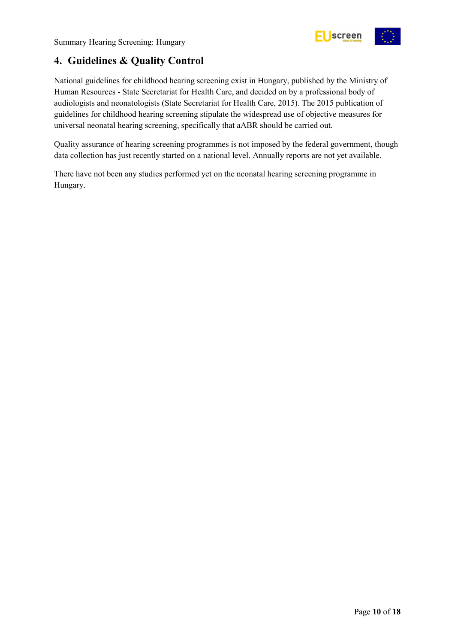

## <span id="page-9-0"></span>**4. Guidelines & Quality Control**

National guidelines for childhood hearing screening exist in Hungary, published by the Ministry of Human Resources - State Secretariat for Health Care, and decided on by a professional body of audiologists and neonatologists (State Secretariat for Health Care, 2015). The 2015 publication of guidelines for childhood hearing screening stipulate the widespread use of objective measures for universal neonatal hearing screening, specifically that aABR should be carried out.

Quality assurance of hearing screening programmes is not imposed by the federal government, though data collection has just recently started on a national level. Annually reports are not yet available.

There have not been any studies performed yet on the neonatal hearing screening programme in Hungary.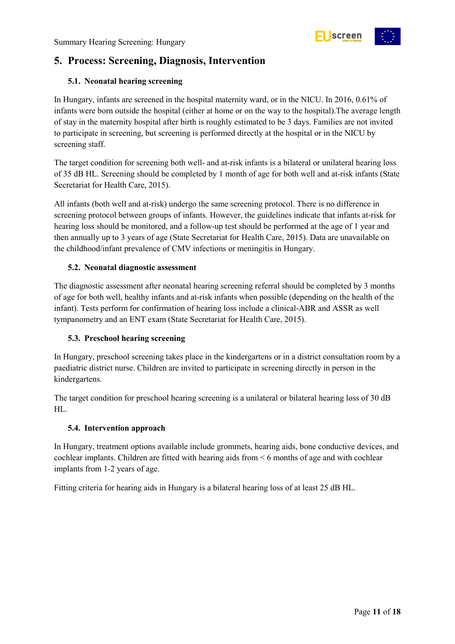

### <span id="page-10-0"></span>**5. Process: Screening, Diagnosis, Intervention**

### <span id="page-10-1"></span>**5.1. Neonatal hearing screening**

In Hungary, infants are screened in the hospital maternity ward, or in the NICU. In 2016, 0.61% of infants were born outside the hospital (either at home or on the way to the hospital).The average length of stay in the maternity hospital after birth is roughly estimated to be 3 days. Families are not invited to participate in screening, but screening is performed directly at the hospital or in the NICU by screening staff.

The target condition for screening both well- and at-risk infants is a bilateral or unilateral hearing loss of 35 dB HL. Screening should be completed by 1 month of age for both well and at-risk infants (State Secretariat for Health Care, 2015).

All infants (both well and at-risk) undergo the same screening protocol. There is no difference in screening protocol between groups of infants. However, the guidelines indicate that infants at-risk for hearing loss should be monitored, and a follow-up test should be performed at the age of 1 year and then annually up to 3 years of age (State Secretariat for Health Care, 2015). Data are unavailable on the childhood/infant prevalence of CMV infections or meningitis in Hungary.

### <span id="page-10-2"></span>**5.2. Neonatal diagnostic assessment**

The diagnostic assessment after neonatal hearing screening referral should be completed by 3 months of age for both well, healthy infants and at-risk infants when possible (depending on the health of the infant). Tests perform for confirmation of hearing loss include a clinical-ABR and ASSR as well tympanometry and an ENT exam (State Secretariat for Health Care, 2015).

### <span id="page-10-3"></span>**5.3. Preschool hearing screening**

In Hungary, preschool screening takes place in the kindergartens or in a district consultation room by a paediatric district nurse. Children are invited to participate in screening directly in person in the kindergartens.

The target condition for preschool hearing screening is a unilateral or bilateral hearing loss of 30 dB HL.

### <span id="page-10-4"></span>**5.4. Intervention approach**

In Hungary, treatment options available include grommets, hearing aids, bone conductive devices, and cochlear implants. Children are fitted with hearing aids from < 6 months of age and with cochlear implants from 1-2 years of age.

Fitting criteria for hearing aids in Hungary is a bilateral hearing loss of at least 25 dB HL.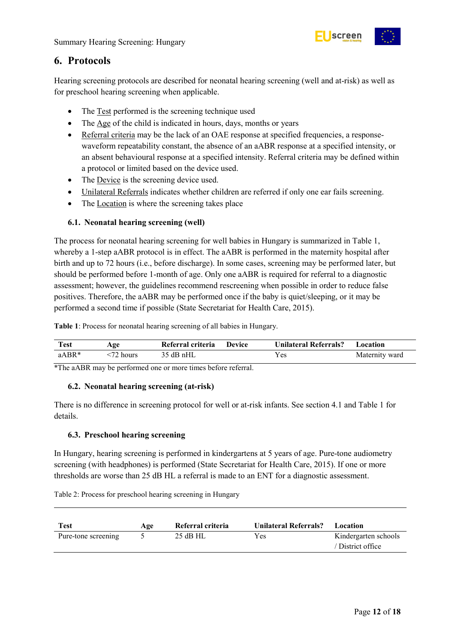

### <span id="page-11-0"></span>**6. Protocols**

Hearing screening protocols are described for neonatal hearing screening (well and at-risk) as well as for preschool hearing screening when applicable.

- The Test performed is the screening technique used
- The Age of the child is indicated in hours, days, months or years
- Referral criteria may be the lack of an OAE response at specified frequencies, a responsewaveform repeatability constant, the absence of an aABR response at a specified intensity, or an absent behavioural response at a specified intensity. Referral criteria may be defined within a protocol or limited based on the device used.
- The Device is the screening device used.
- Unilateral Referrals indicates whether children are referred if only one ear fails screening.
- The Location is where the screening takes place

### <span id="page-11-1"></span>**6.1. Neonatal hearing screening (well)**

The process for neonatal hearing screening for well babies in Hungary is summarized in Table 1, whereby a 1-step aABR protocol is in effect. The aABR is performed in the maternity hospital after birth and up to 72 hours (i.e., before discharge). In some cases, screening may be performed later, but should be performed before 1-month of age. Only one aABR is required for referral to a diagnostic assessment; however, the guidelines recommend rescreening when possible in order to reduce false positives. Therefore, the aABR may be performed once if the baby is quiet/sleeping, or it may be performed a second time if possible (State Secretariat for Health Care, 2015).

<span id="page-11-4"></span>**Table 1**: Process for neonatal hearing screening of all babies in Hungary.

| <b>Test</b> | Age       | Referral criteria | <b>Device</b> | Unilateral Referrals? | <b>Location</b> |
|-------------|-----------|-------------------|---------------|-----------------------|-----------------|
| $aABR*$     | <72 hours | 35 dB nHL         |               | Y es                  | Maternity ward  |

\*The aABR may be performed one or more times before referral.

### <span id="page-11-2"></span>**6.2. Neonatal hearing screening (at-risk)**

There is no difference in screening protocol for well or at-risk infants. See section 4.1 and Table 1 for details.

### <span id="page-11-3"></span>**6.3. Preschool hearing screening**

In Hungary, hearing screening is performed in kindergartens at 5 years of age. Pure-tone audiometry screening (with headphones) is performed (State Secretariat for Health Care, 2015). If one or more thresholds are worse than 25 dB HL a referral is made to an ENT for a diagnostic assessment.

<span id="page-11-5"></span>Table 2: Process for preschool hearing screening in Hungary

| Test                | Age | Referral criteria | <b>Unilateral Referrals?</b> | Location             |
|---------------------|-----|-------------------|------------------------------|----------------------|
| Pure-tone screening |     | $25$ dB HL        | Yes                          | Kindergarten schools |
|                     |     |                   |                              | / District office    |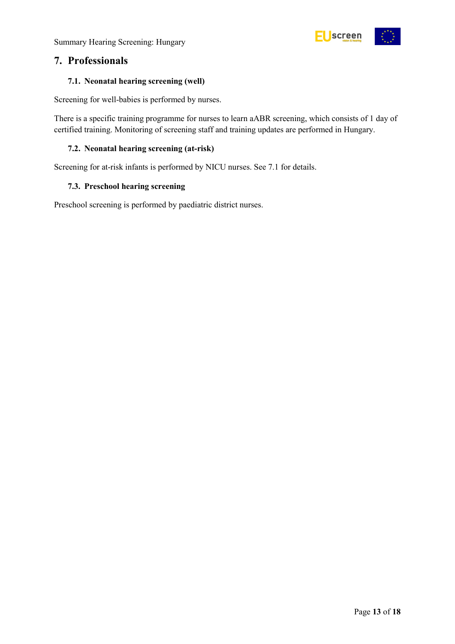Summary Hearing Screening: Hungary



### <span id="page-12-0"></span>**7. Professionals**

### <span id="page-12-1"></span>**7.1. Neonatal hearing screening (well)**

Screening for well-babies is performed by nurses.

There is a specific training programme for nurses to learn aABR screening, which consists of 1 day of certified training. Monitoring of screening staff and training updates are performed in Hungary.

### <span id="page-12-2"></span>**7.2. Neonatal hearing screening (at-risk)**

Screening for at-risk infants is performed by NICU nurses. See 7.1 for details.

### <span id="page-12-3"></span>**7.3. Preschool hearing screening**

Preschool screening is performed by paediatric district nurses.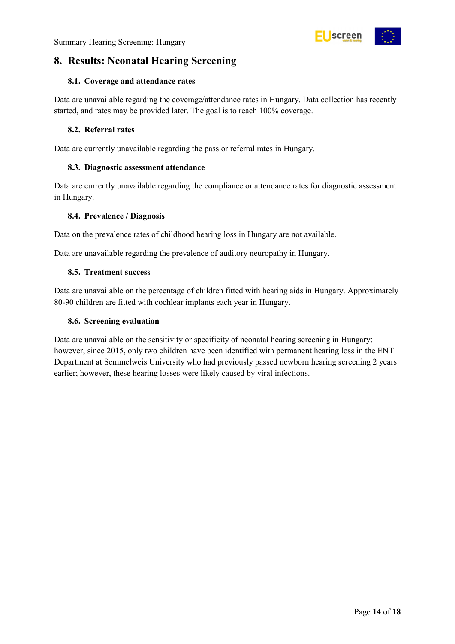

### <span id="page-13-0"></span>**8. Results: Neonatal Hearing Screening**

#### <span id="page-13-1"></span>**8.1. Coverage and attendance rates**

Data are unavailable regarding the coverage/attendance rates in Hungary. Data collection has recently started, and rates may be provided later. The goal is to reach 100% coverage.

#### <span id="page-13-2"></span>**8.2. Referral rates**

Data are currently unavailable regarding the pass or referral rates in Hungary.

#### <span id="page-13-3"></span>**8.3. Diagnostic assessment attendance**

Data are currently unavailable regarding the compliance or attendance rates for diagnostic assessment in Hungary.

#### <span id="page-13-4"></span>**8.4. Prevalence / Diagnosis**

Data on the prevalence rates of childhood hearing loss in Hungary are not available.

Data are unavailable regarding the prevalence of auditory neuropathy in Hungary.

#### <span id="page-13-5"></span>**8.5. Treatment success**

Data are unavailable on the percentage of children fitted with hearing aids in Hungary. Approximately 80-90 children are fitted with cochlear implants each year in Hungary.

#### <span id="page-13-6"></span>**8.6. Screening evaluation**

Data are unavailable on the sensitivity or specificity of neonatal hearing screening in Hungary; however, since 2015, only two children have been identified with permanent hearing loss in the ENT Department at Semmelweis University who had previously passed newborn hearing screening 2 years earlier; however, these hearing losses were likely caused by viral infections.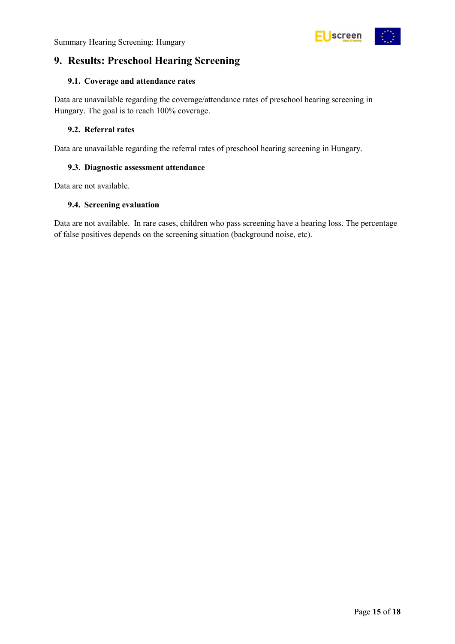

### <span id="page-14-0"></span>**9. Results: Preschool Hearing Screening**

### <span id="page-14-1"></span>**9.1. Coverage and attendance rates**

Data are unavailable regarding the coverage/attendance rates of preschool hearing screening in Hungary. The goal is to reach 100% coverage.

### <span id="page-14-2"></span>**9.2. Referral rates**

Data are unavailable regarding the referral rates of preschool hearing screening in Hungary.

### <span id="page-14-3"></span>**9.3. Diagnostic assessment attendance**

Data are not available.

### <span id="page-14-4"></span>**9.4. Screening evaluation**

Data are not available. In rare cases, children who pass screening have a hearing loss. The percentage of false positives depends on the screening situation (background noise, etc).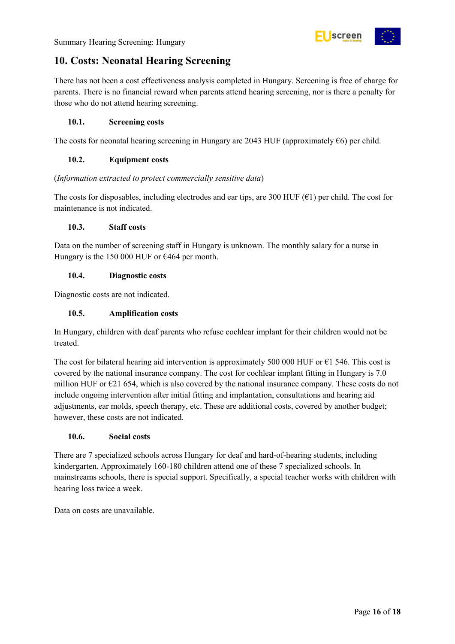

### <span id="page-15-0"></span>**10. Costs: Neonatal Hearing Screening**

There has not been a cost effectiveness analysis completed in Hungary. Screening is free of charge for parents. There is no financial reward when parents attend hearing screening, nor is there a penalty for those who do not attend hearing screening.

### <span id="page-15-1"></span>**10.1. Screening costs**

The costs for neonatal hearing screening in Hungary are 2043 HUF (approximately  $\epsilon$ 6) per child.

### <span id="page-15-2"></span>**10.2. Equipment costs**

(*Information extracted to protect commercially sensitive data*)

The costs for disposables, including electrodes and ear tips, are 300 HUF ( $\epsilon$ 1) per child. The cost for maintenance is not indicated.

### <span id="page-15-3"></span>**10.3. Staff costs**

Data on the number of screening staff in Hungary is unknown. The monthly salary for a nurse in Hungary is the 150 000 HUF or  $\epsilon$ 464 per month.

### <span id="page-15-4"></span>**10.4. Diagnostic costs**

Diagnostic costs are not indicated.

### <span id="page-15-5"></span>**10.5. Amplification costs**

In Hungary, children with deaf parents who refuse cochlear implant for their children would not be treated.

The cost for bilateral hearing aid intervention is approximately 500 000 HUF or  $\epsilon$ 1 546. This cost is covered by the national insurance company. The cost for cochlear implant fitting in Hungary is 7.0 million HUF or  $\epsilon$ 21 654, which is also covered by the national insurance company. These costs do not include ongoing intervention after initial fitting and implantation, consultations and hearing aid adjustments, ear molds, speech therapy, etc. These are additional costs, covered by another budget; however, these costs are not indicated.

### <span id="page-15-6"></span>**10.6. Social costs**

There are 7 specialized schools across Hungary for deaf and hard-of-hearing students, including kindergarten. Approximately 160-180 children attend one of these 7 specialized schools. In mainstreams schools, there is special support. Specifically, a special teacher works with children with hearing loss twice a week.

Data on costs are unavailable.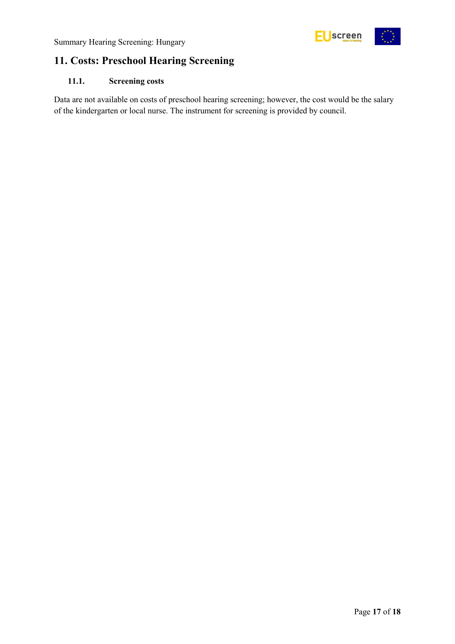

## <span id="page-16-0"></span>**11. Costs: Preschool Hearing Screening**

### <span id="page-16-1"></span>**11.1. Screening costs**

Data are not available on costs of preschool hearing screening; however, the cost would be the salary of the kindergarten or local nurse. The instrument for screening is provided by council.